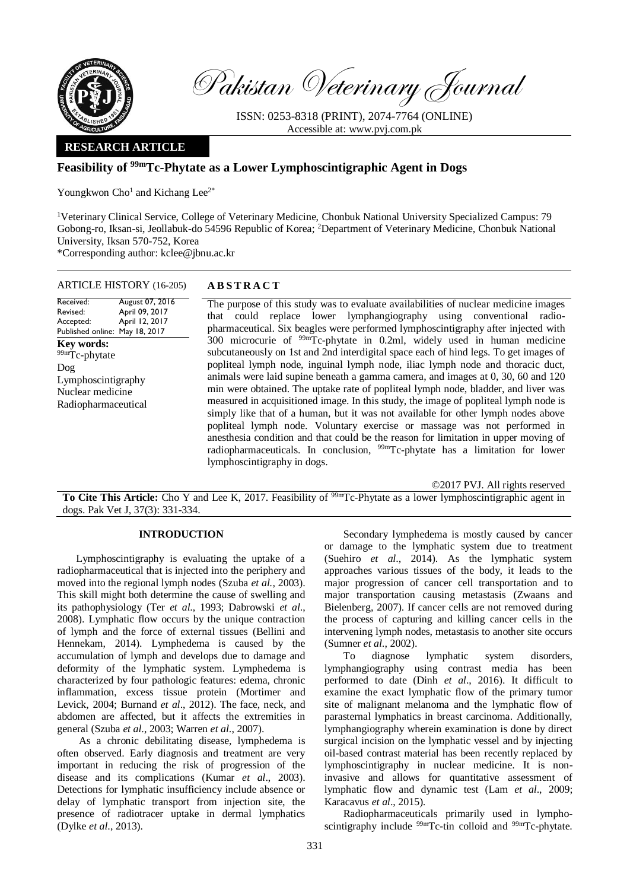

Pakistan Veterinary Journal

ISSN: 0253-8318 (PRINT), 2074-7764 (ONLINE) Accessible at: [www.pvj.com.pk](http://www.pvj.com.pk/)

### **RESEARCH ARTICLE**

# **Feasibility of 99mTc-Phytate as a Lower Lymphoscintigraphic Agent in Dogs**

Youngkwon  $Cho<sup>1</sup>$  and Kichang Lee<sup>2\*</sup>

<sup>1</sup>Veterinary Clinical Service, College of Veterinary Medicine, Chonbuk National University Specialized Campus: 79 Gobong-ro, Iksan-si, Jeollabuk-do 54596 Republic of Korea; <sup>2</sup>Department of Veterinary Medicine, Chonbuk National University, Iksan 570-752, Korea \*Corresponding author: kclee@jbnu.ac.kr

## ARTICLE HISTORY (16-205) **A B S T R A C T**

Received: Revised: Accepted: Published online: May 18, 2017 August 07, 2016 April 09, 2017 April 12, 2017 **Key words:**  99mTc-phytate Dog Lymphoscintigraphy Nuclear medicine Radiopharmaceutical

The purpose of this study was to evaluate availabilities of nuclear medicine images that could replace lower lymphangiography using conventional radiopharmaceutical. Six beagles were performed lymphoscintigraphy after injected with  $300$  microcurie of  $99mTc$ -phytate in 0.2ml, widely used in human medicine subcutaneously on 1st and 2nd interdigital space each of hind legs. To get images of popliteal lymph node, inguinal lymph node, iliac lymph node and thoracic duct, animals were laid supine beneath a gamma camera, and images at 0, 30, 60 and 120 min were obtained. The uptake rate of popliteal lymph node, bladder, and liver was measured in acquisitioned image. In this study, the image of popliteal lymph node is simply like that of a human, but it was not available for other lymph nodes above popliteal lymph node. Voluntary exercise or massage was not performed in anesthesia condition and that could be the reason for limitation in upper moving of radiopharmaceuticals. In conclusion, <sup>99mT</sup>c-phytate has a limitation for lower lymphoscintigraphy in dogs.

©2017 PVJ. All rights reserved To Cite This Article: Cho Y and Lee K, 2017. Feasibility of <sup>99m</sup>Tc-Phytate as a lower lymphoscintigraphic agent in dogs. Pak Vet J, 37(3): 331-334.

### **INTRODUCTION**

Lymphoscintigraphy is evaluating the uptake of a radiopharmaceutical that is injected into the periphery and moved into the regional lymph nodes (Szuba *et al.,* 2003). This skill might both determine the cause of swelling and its pathophysiology (Ter *et al*., 1993; Dabrowski *et al*., 2008). Lymphatic flow occurs by the unique contraction of lymph and the force of external tissues (Bellini and Hennekam, 2014). Lymphedema is caused by the accumulation of lymph and develops due to damage and deformity of the lymphatic system. Lymphedema is characterized by four pathologic features: edema, chronic inflammation, excess tissue protein (Mortimer and Levick, 2004; Burnand *et al*., 2012). The face, neck, and abdomen are affected, but it affects the extremities in general (Szuba *et al*., 2003; Warren *et al*., 2007).

As a chronic debilitating disease, lymphedema is often observed. Early diagnosis and treatment are very important in reducing the risk of progression of the disease and its complications (Kumar *et al*., 2003). Detections for lymphatic insufficiency include absence or delay of lymphatic transport from injection site, the presence of radiotracer uptake in dermal lymphatics (Dylke *et al*., 2013).

Secondary lymphedema is mostly caused by cancer or damage to the lymphatic system due to treatment (Suehiro *et al*., 2014). As the lymphatic system approaches various tissues of the body, it leads to the major progression of cancer cell transportation and to major transportation causing metastasis (Zwaans and Bielenberg, 2007). If cancer cells are not removed during the process of capturing and killing cancer cells in the intervening lymph nodes, metastasis to another site occurs (Sumner *et al*., 2002).

To diagnose lymphatic system disorders, lymphangiography using contrast media has been performed to date (Dinh *et al*., 2016). It difficult to examine the exact lymphatic flow of the primary tumor site of malignant melanoma and the lymphatic flow of parasternal lymphatics in breast carcinoma. Additionally, lymphangiography wherein examination is done by direct surgical incision on the lymphatic vessel and by injecting oil-based contrast material has been recently replaced by lymphoscintigraphy in nuclear medicine. It is noninvasive and allows for quantitative assessment of lymphatic flow and dynamic test (Lam *et al*., 2009; Karacavus *et al*., 2015).

Radiopharmaceuticals primarily used in lymphoscintigraphy include <sup>99m</sup>Tc-tin colloid and <sup>99m</sup>Tc-phytate.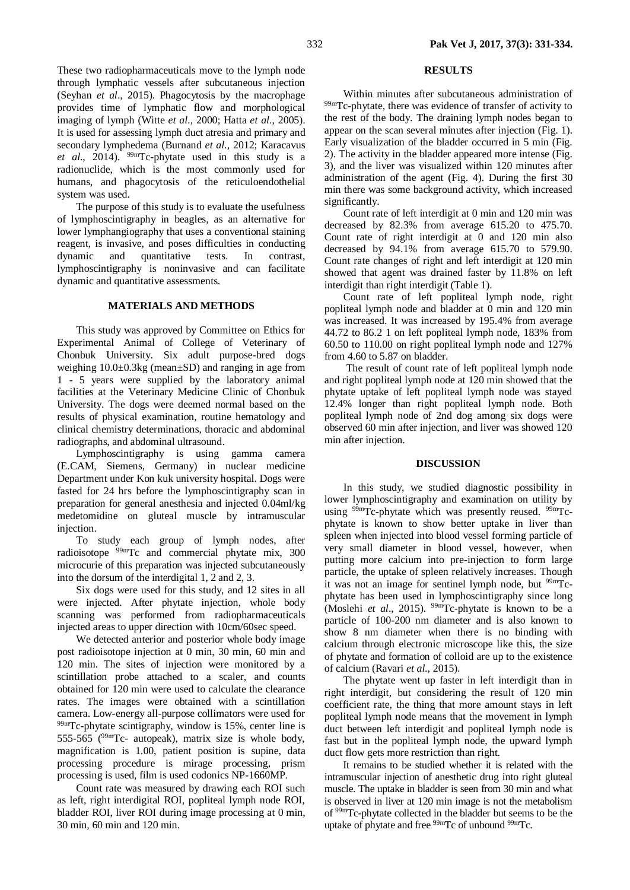These two radiopharmaceuticals move to the lymph node through lymphatic vessels after subcutaneous injection (Seyhan *et al*., 2015). Phagocytosis by the macrophage provides time of lymphatic flow and morphological imaging of lymph (Witte *et al*., 2000; Hatta *et al*., 2005). It is used for assessing lymph duct atresia and primary and secondary lymphedema (Burnand *et al*., 2012; Karacavus *et al*., 2014). 99mTc-phytate used in this study is a radionuclide, which is the most commonly used for humans, and phagocytosis of the reticuloendothelial system was used.

The purpose of this study is to evaluate the usefulness of lymphoscintigraphy in beagles, as an alternative for lower lymphangiography that uses a conventional staining reagent, is invasive, and poses difficulties in conducting dynamic and quantitative tests. In contrast, lymphoscintigraphy is noninvasive and can facilitate dynamic and quantitative assessments.

### **MATERIALS AND METHODS**

This study was approved by Committee on Ethics for Experimental Animal of College of Veterinary of Chonbuk University. Six adult purpose-bred dogs weighing 10.0±0.3kg (mean±SD) and ranging in age from 1 - 5 years were supplied by the laboratory animal facilities at the Veterinary Medicine Clinic of Chonbuk University. The dogs were deemed normal based on the results of physical examination, routine hematology and clinical chemistry determinations, thoracic and abdominal radiographs, and abdominal ultrasound.

Lymphoscintigraphy is using gamma camera (E.CAM, Siemens, Germany) in nuclear medicine Department under Kon kuk university hospital. Dogs were fasted for 24 hrs before the lymphoscintigraphy scan in preparation for general anesthesia and injected 0.04ml/kg medetomidine on gluteal muscle by intramuscular injection.

To study each group of lymph nodes, after radioisotope 99mTc and commercial phytate mix, 300 microcurie of this preparation was injected subcutaneously into the dorsum of the interdigital 1, 2 and 2, 3.

Six dogs were used for this study, and 12 sites in all were injected. After phytate injection, whole body scanning was performed from radiopharmaceuticals injected areas to upper direction with 10cm/60sec speed.

We detected anterior and posterior whole body image post radioisotope injection at 0 min, 30 min, 60 min and 120 min. The sites of injection were monitored by a scintillation probe attached to a scaler, and counts obtained for 120 min were used to calculate the clearance rates. The images were obtained with a scintillation camera. Low-energy all-purpose collimators were used for 99mTc-phytate scintigraphy, window is 15%, center line is 555-565 ( $99 \text{mT}$ c- autopeak), matrix size is whole body, magnification is 1.00, patient position is supine, data processing procedure is mirage processing, prism processing is used, film is used codonics NP-1660MP.

Count rate was measured by drawing each ROI such as left, right interdigital ROI, popliteal lymph node ROI, bladder ROI, liver ROI during image processing at 0 min, 30 min, 60 min and 120 min.

#### **RESULTS**

Within minutes after subcutaneous administration of 99mTc-phytate, there was evidence of transfer of activity to the rest of the body. The draining lymph nodes began to appear on the scan several minutes after injection (Fig. 1). Early visualization of the bladder occurred in 5 min (Fig. 2). The activity in the bladder appeared more intense (Fig. 3), and the liver was visualized within 120 minutes after administration of the agent (Fig. 4). During the first 30 min there was some background activity, which increased significantly.

Count rate of left interdigit at 0 min and 120 min was decreased by 82.3% from average 615.20 to 475.70. Count rate of right interdigit at 0 and 120 min also decreased by 94.1% from average 615.70 to 579.90. Count rate changes of right and left interdigit at 120 min showed that agent was drained faster by 11.8% on left interdigit than right interdigit (Table 1).

Count rate of left popliteal lymph node, right popliteal lymph node and bladder at 0 min and 120 min was increased. It was increased by 195.4% from average 44.72 to 86.2 1 on left popliteal lymph node, 183% from 60.50 to 110.00 on right popliteal lymph node and 127% from 4.60 to 5.87 on bladder.

The result of count rate of left popliteal lymph node and right popliteal lymph node at 120 min showed that the phytate uptake of left popliteal lymph node was stayed 12.4% longer than right popliteal lymph node. Both popliteal lymph node of 2nd dog among six dogs were observed 60 min after injection, and liver was showed 120 min after injection.

#### **DISCUSSION**

In this study, we studied diagnostic possibility in lower lymphoscintigraphy and examination on utility by using <sup>99m</sup>Tc-phytate which was presently reused. <sup>99m</sup>Tcphytate is known to show better uptake in liver than spleen when injected into blood vessel forming particle of very small diameter in blood vessel, however, when putting more calcium into pre-injection to form large particle, the uptake of spleen relatively increases. Though it was not an image for sentinel lymph node, but  $99mTc$ phytate has been used in lymphoscintigraphy since long (Moslehi *et al*., 2015). 99mTc-phytate is known to be a particle of 100-200 nm diameter and is also known to show 8 nm diameter when there is no binding with calcium through electronic microscope like this, the size of phytate and formation of colloid are up to the existence of calcium (Ravari *et al*., 2015).

The phytate went up faster in left interdigit than in right interdigit, but considering the result of 120 min coefficient rate, the thing that more amount stays in left popliteal lymph node means that the movement in lymph duct between left interdigit and popliteal lymph node is fast but in the popliteal lymph node, the upward lymph duct flow gets more restriction than right.

It remains to be studied whether it is related with the intramuscular injection of anesthetic drug into right gluteal muscle. The uptake in bladder is seen from 30 min and what is observed in liver at 120 min image is not the metabolism of 99mTc-phytate collected in the bladder but seems to be the uptake of phytate and free <sup>99m</sup>Tc of unbound <sup>99m</sup>Tc.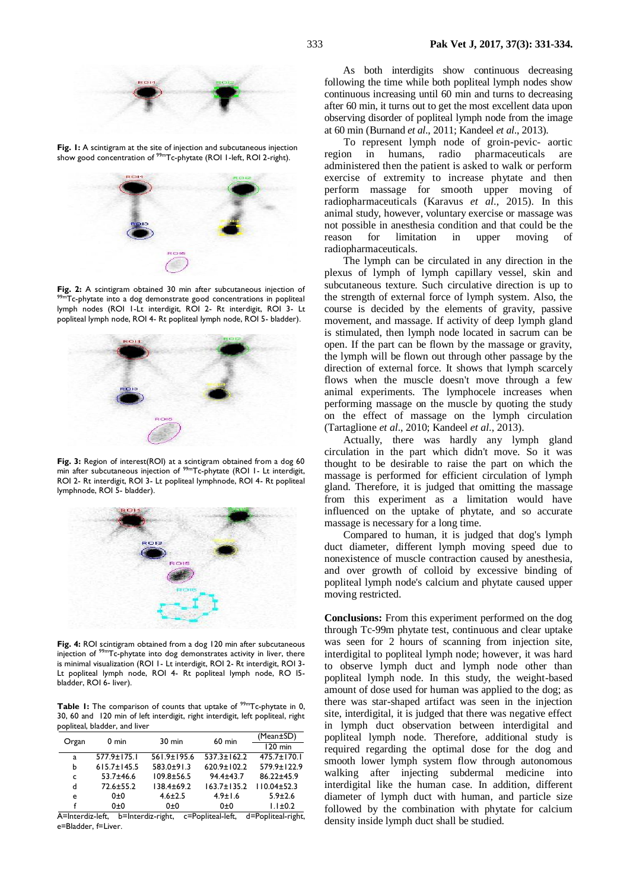

**Fig. 1:** A scintigram at the site of injection and subcutaneous injection show good concentration of <sup>99m</sup>Tc-phytate (ROI 1-left, ROI 2-right).



**Fig. 2:** A scintigram obtained 30 min after subcutaneous injection of 99mTc-phytate into a dog demonstrate good concentrations in popliteal lymph nodes (ROI 1-Lt interdigit, ROI 2- Rt interdigit, ROI 3- Lt popliteal lymph node, ROI 4- Rt popliteal lymph node, ROI 5- bladder).



**Fig. 3:** Region of interest(ROI) at a scintigram obtained from a dog 60 min after subcutaneous injection of <sup>99m</sup>Tc-phytate (ROI I- Lt interdigit, ROI 2- Rt interdigit, ROI 3- Lt popliteal lymphnode, ROI 4- Rt popliteal lymphnode, ROI 5- bladder).



**Fig. 4:** ROI scintigram obtained from a dog 120 min after subcutaneous injection of 99mTc-phytate into dog demonstrates activity in liver, there is minimal visualization (ROI 1- Lt interdigit, ROI 2- Rt interdigit, ROI 3- Lt popliteal lymph node, ROI 4- Rt popliteal lymph node, RO I5 bladder, ROI 6- liver).

**Table 1:** The comparison of counts that uptake of <sup>99m</sup>Tc-phytate in 0, 30, 60 and 120 min of left interdigit, right interdigit, left popliteal, right popliteal, bladder, and liver

|                     | $0 \text{ min}$             | 30 min                                                          | $60$ min                                   | (Mean±SD)                                                                                  |
|---------------------|-----------------------------|-----------------------------------------------------------------|--------------------------------------------|--------------------------------------------------------------------------------------------|
| Organ               |                             |                                                                 |                                            | $120$ min                                                                                  |
| a                   | $577.9 \pm 175.1$           | $561.9 \pm 195.6$                                               | $537.3 \pm 162.2$                          | $475.7 \pm 170.1$                                                                          |
| b                   | $615.7 \pm 145.5$           | $583.0 + 91.3$                                                  | $620.9 \pm 102.2$                          | 579.9±122.9                                                                                |
| C                   | $53.7 + 46.6$               | $109.8 + 56.5$                                                  | $94.4 \pm 43.7$                            | 86.22±45.9                                                                                 |
| d                   | $72.6 \pm 55.2$             | $138.4 + 69.2$                                                  | $163.7 \pm 135.2$                          | $110.04 \pm 52.3$                                                                          |
| e                   | 0±0                         | $4.6 \pm 2.5$                                                   | $4.9 \pm 1.6$                              | $5.9 \pm 2.6$                                                                              |
|                     | 0±0                         | 0±0                                                             | 0±0                                        | $1.1 \pm 0.2$                                                                              |
| $\cdot$<br>$\cdots$ | $\mathbf{r}$ . $\mathbf{r}$ | $\cdot$ $\cdot$ $\cdot$<br>$\cdots$<br>$\overline{\phantom{a}}$ | $\mathbf{r}$ , $\mathbf{r}$ , $\mathbf{r}$ | $\mathbf{1}$ , $\mathbf{1}$ , $\mathbf{1}$ , $\mathbf{1}$ , $\mathbf{1}$<br>$\overline{ }$ |

A=Interdiz-left, b=Interdiz-right, c=Popliteal-left, d=Popliteal-right, e=Bladder, f=Liver.

As both interdigits show continuous decreasing following the time while both popliteal lymph nodes show continuous increasing until 60 min and turns to decreasing after 60 min, it turns out to get the most excellent data upon observing disorder of popliteal lymph node from the image at 60 min (Burnand *et al*., 2011; Kandeel *et al*., 2013).

To represent lymph node of groin-pevic- aortic region in humans, radio pharmaceuticals are administered then the patient is asked to walk or perform exercise of extremity to increase phytate and then perform massage for smooth upper moving of radiopharmaceuticals [\(Karavus](http://www.ncbi.nlm.nih.gov/pubmed/?term=Kara%26%23x000e7%3Bavu%26%23x0015f%3B%20S%5Bauth%5D) *et al*., 2015). In this animal study, however, voluntary exercise or massage was not possible in anesthesia condition and that could be the reason for limitation in upper moving radiopharmaceuticals.

The lymph can be circulated in any direction in the plexus of lymph of lymph capillary vessel, skin and subcutaneous texture. Such circulative direction is up to the strength of external force of lymph system. Also, the course is decided by the elements of gravity, passive movement, and massage. If activity of deep lymph gland is stimulated, then lymph node located in sacrum can be open. If the part can be flown by the massage or gravity, the lymph will be flown out through other passage by the direction of external force. It shows that lymph scarcely flows when the muscle doesn't move through a few animal experiments. The lymphocele increases when performing massage on the muscle by quoting the study on the effect of massage on the lymph circulation (Tartaglione *et al*., 2010; Kandeel *et al*., 2013).

Actually, there was hardly any lymph gland circulation in the part which didn't move. So it was thought to be desirable to raise the part on which the massage is performed for efficient circulation of lymph gland. Therefore, it is judged that omitting the massage from this experiment as a limitation would have influenced on the uptake of phytate, and so accurate massage is necessary for a long time.

Compared to human, it is judged that dog's lymph duct diameter, different lymph moving speed due to nonexistence of muscle contraction caused by anesthesia, and over growth of colloid by excessive binding of popliteal lymph node's calcium and phytate caused upper moving restricted.

**Conclusions:** From this experiment performed on the dog through Tc-99m phytate test, continuous and clear uptake was seen for 2 hours of scanning from injection site, interdigital to popliteal lymph node; however, it was hard to observe lymph duct and lymph node other than popliteal lymph node. In this study, the weight-based amount of dose used for human was applied to the dog; as there was star-shaped artifact was seen in the injection site, interdigital, it is judged that there was negative effect in lymph duct observation between interdigital and popliteal lymph node. Therefore, additional study is required regarding the optimal dose for the dog and smooth lower lymph system flow through autonomous walking after injecting subdermal medicine into interdigital like the human case. In addition, different diameter of lymph duct with human, and particle size followed by the combination with phytate for calcium density inside lymph duct shall be studied.